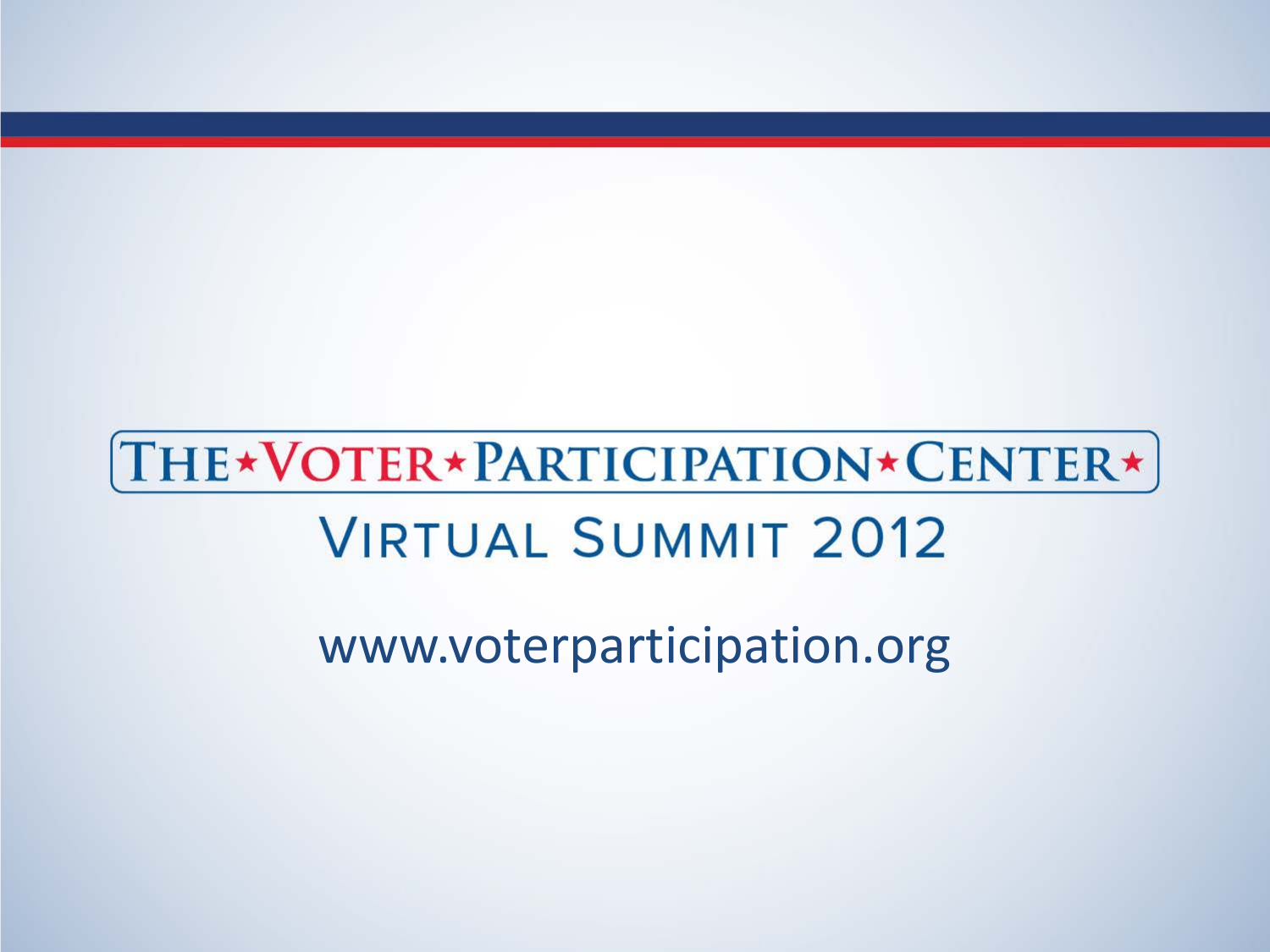www.voterparticipation.org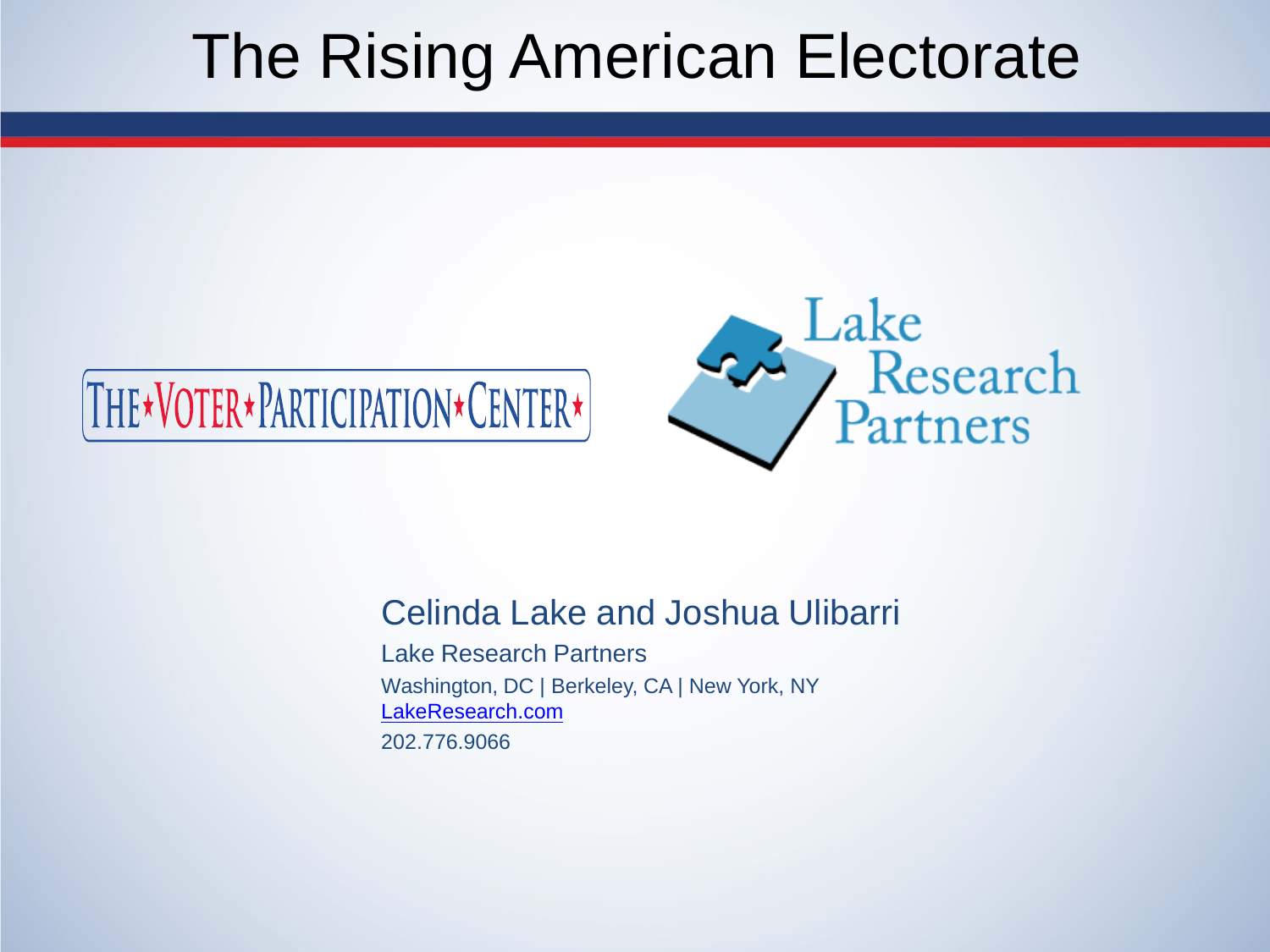# The Rising American Electorate





### Celinda Lake and Joshua Ulibarri

Lake Research Partners Washington, DC | Berkeley, CA | New York, NY [LakeResearch.com](http://www.lakeresearch.com/) 202.776.9066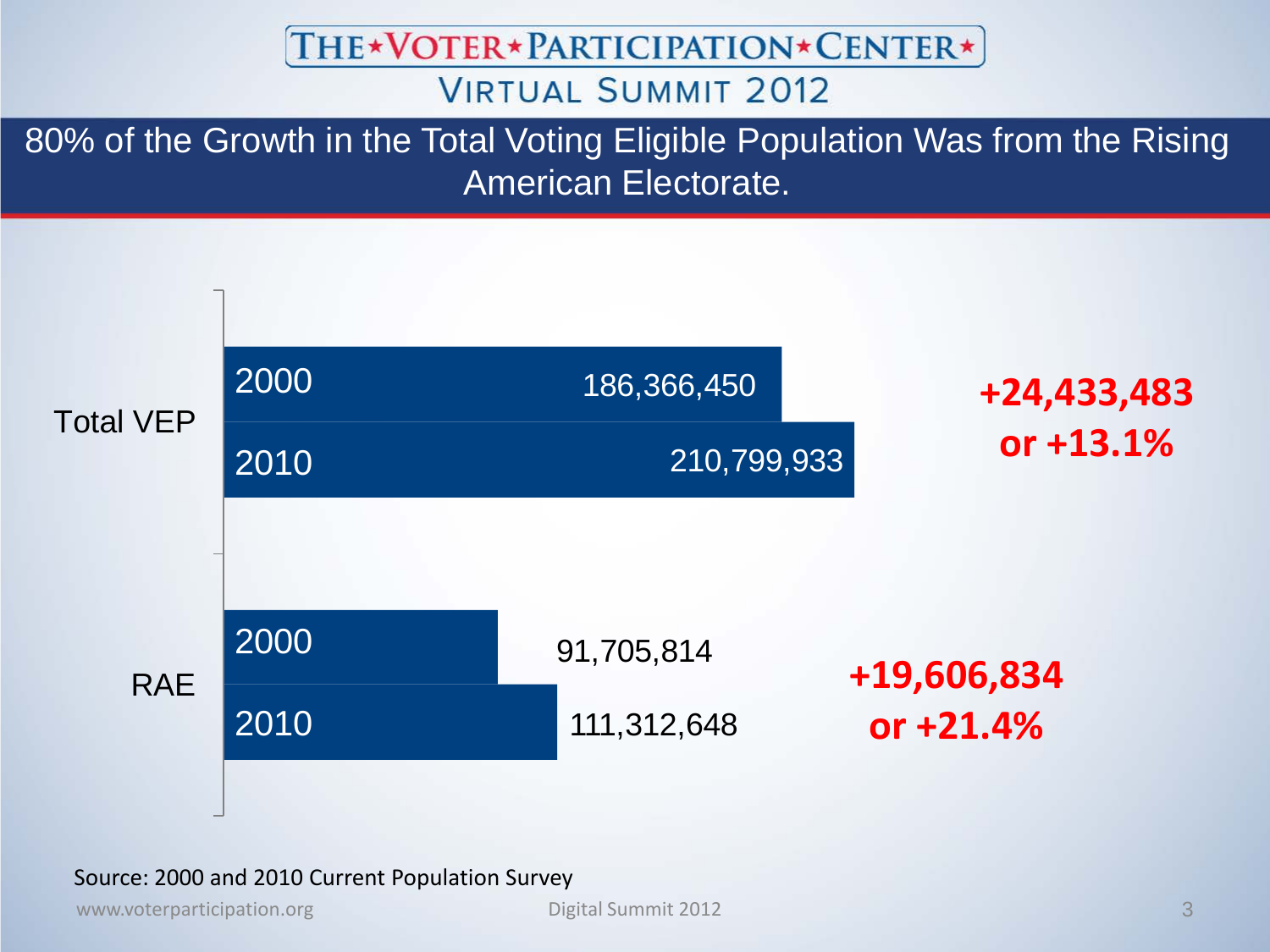THE\*VOTER\*PARTICIPATION\*CENTER\*

### **VIRTUAL SUMMIT 2012**

80% of the Growth in the Total Voting Eligible Population Was from the Rising American Electorate.



#### Source: 2000 and 2010 Current Population Survey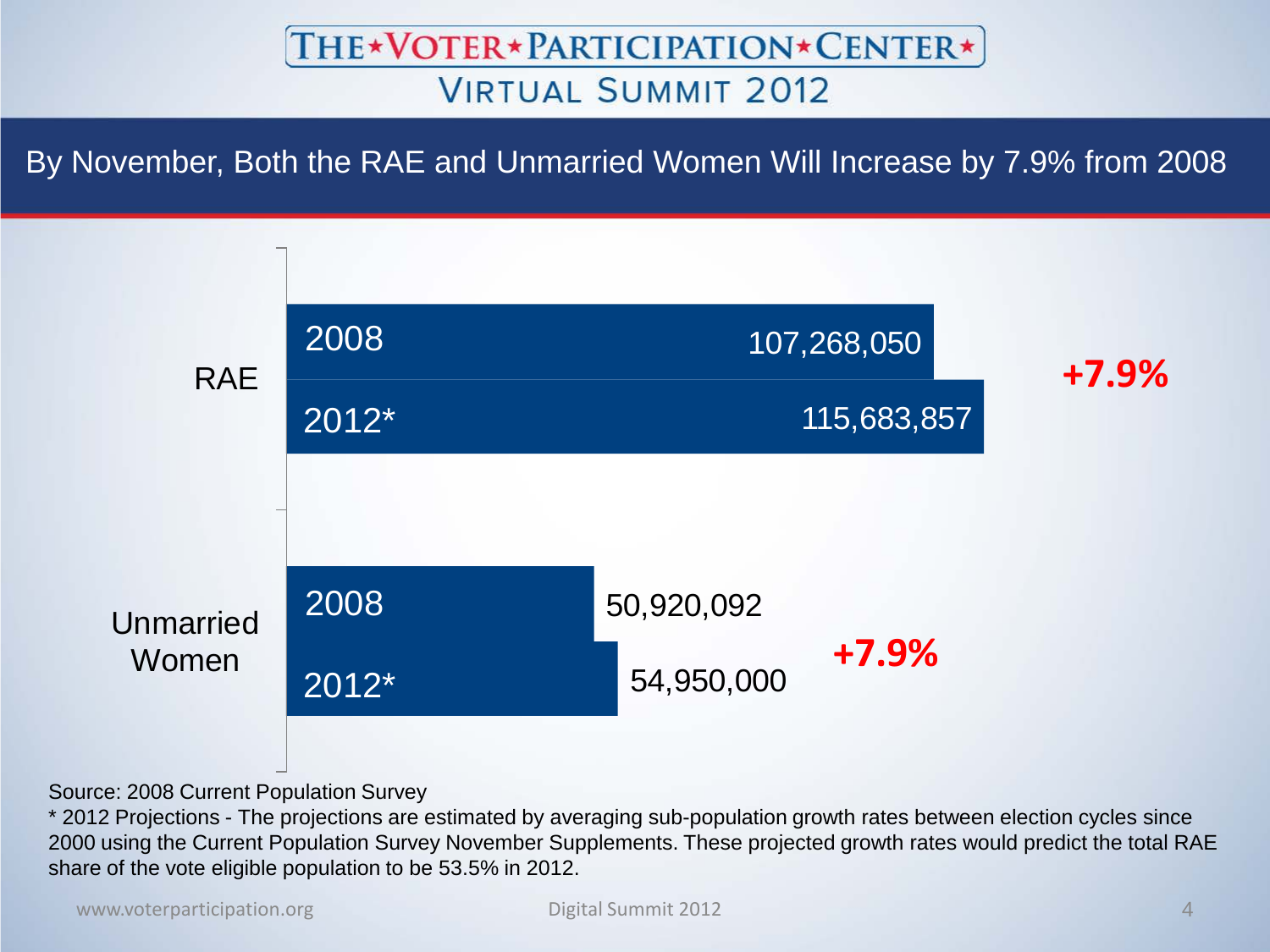By November, Both the RAE and Unmarried Women Will Increase by 7.9% from 2008



Source: 2008 Current Population Survey

\* 2012 Projections - The projections are estimated by averaging sub-population growth rates between election cycles since 2000 using the Current Population Survey November Supplements. These projected growth rates would predict the total RAE share of the vote eligible population to be 53.5% in 2012.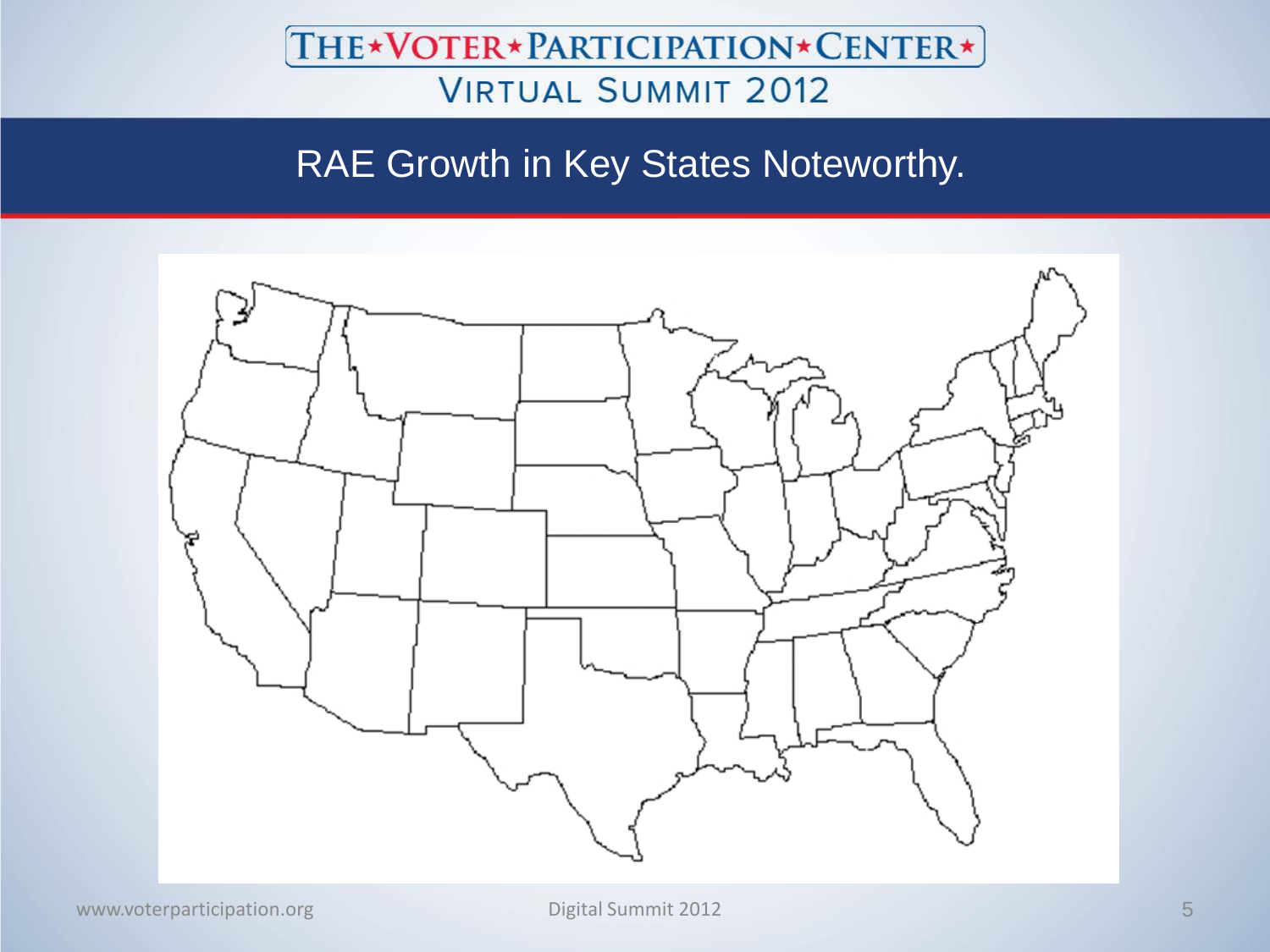## RAE Growth in Key States Noteworthy.

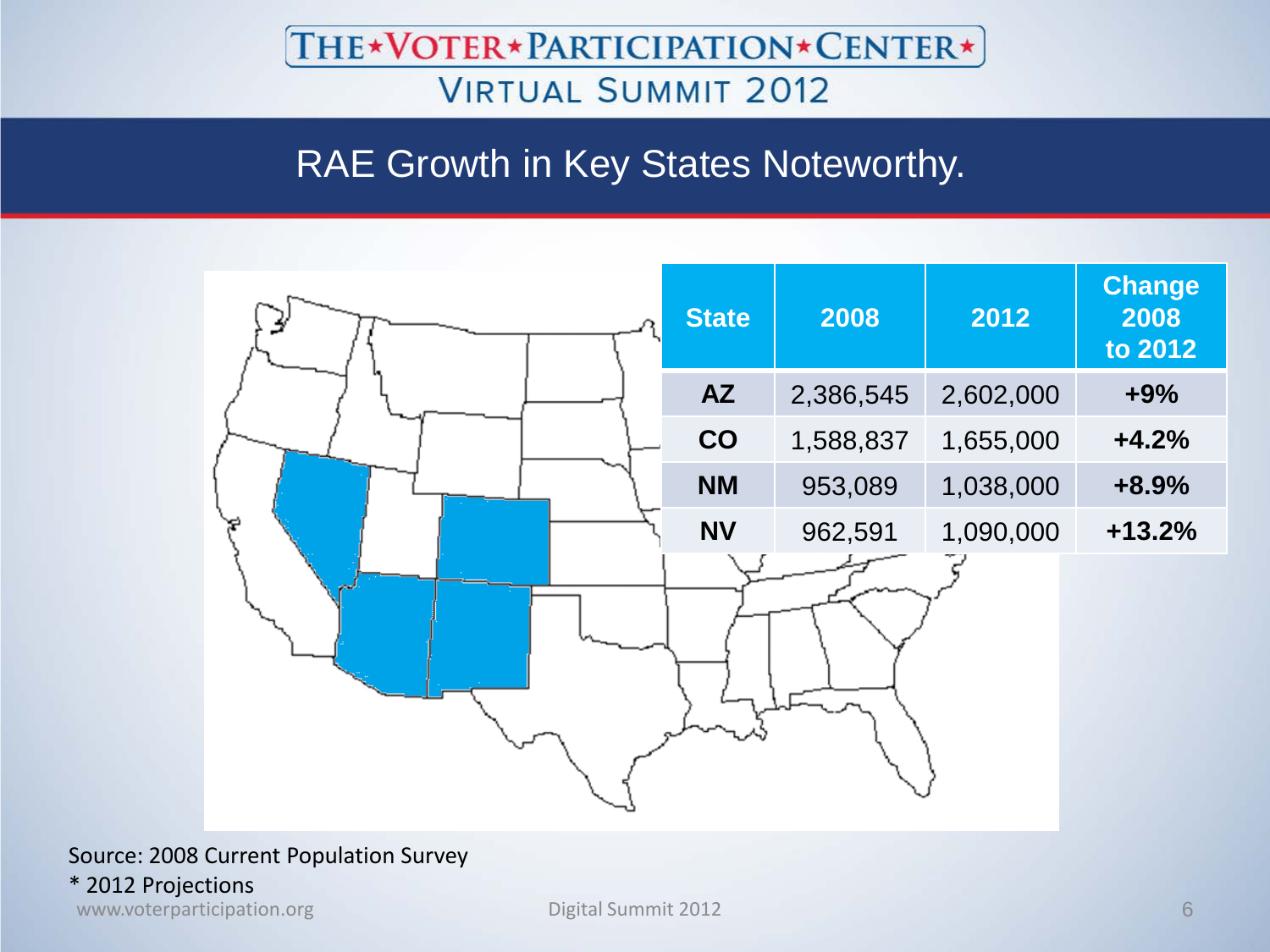## RAE Growth in Key States Noteworthy.



#### Source: 2008 Current Population Survey

\* 2012 Projections

www.voterparticipation.org Digital Summit 2012 6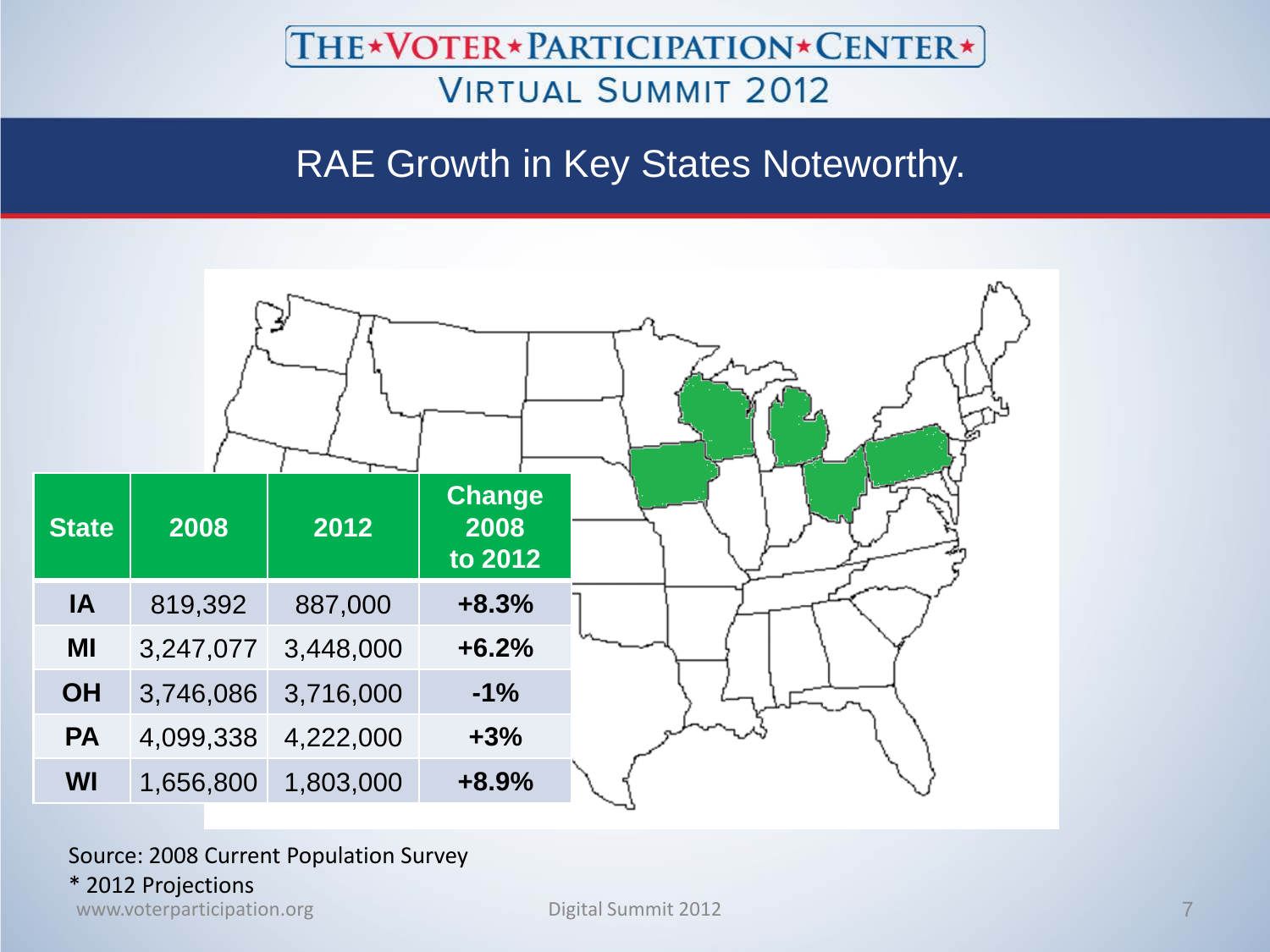## RAE Growth in Key States Noteworthy.



#### Source: 2008 Current Population Survey

#### \* 2012 Projections

www.voterparticipation.org **Digital Summit 2012** 2012 12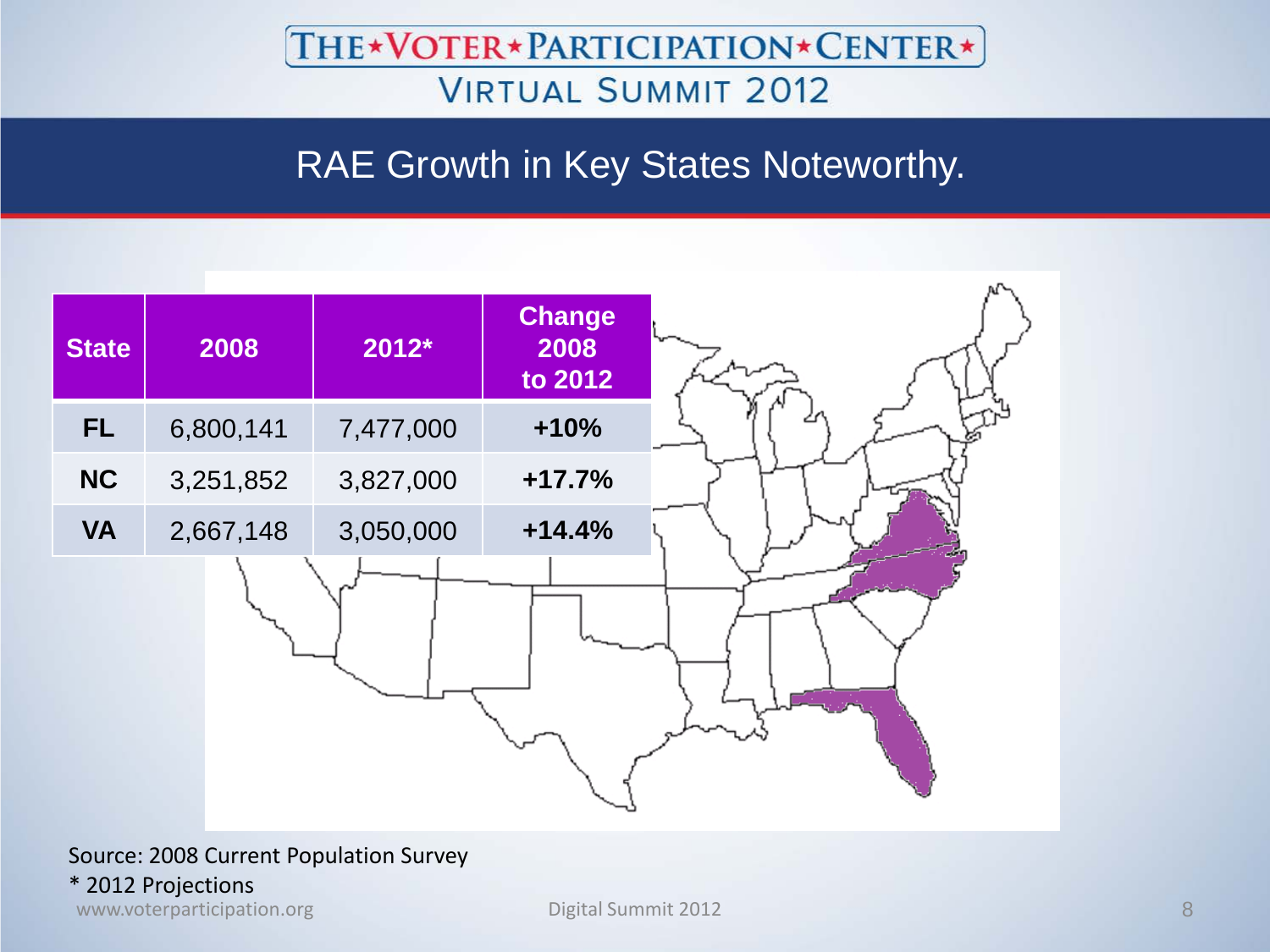## RAE Growth in Key States Noteworthy.



#### Source: 2008 Current Population Survey

#### \* 2012 Projections

www.voterparticipation.org **Digital Summit 2012** 8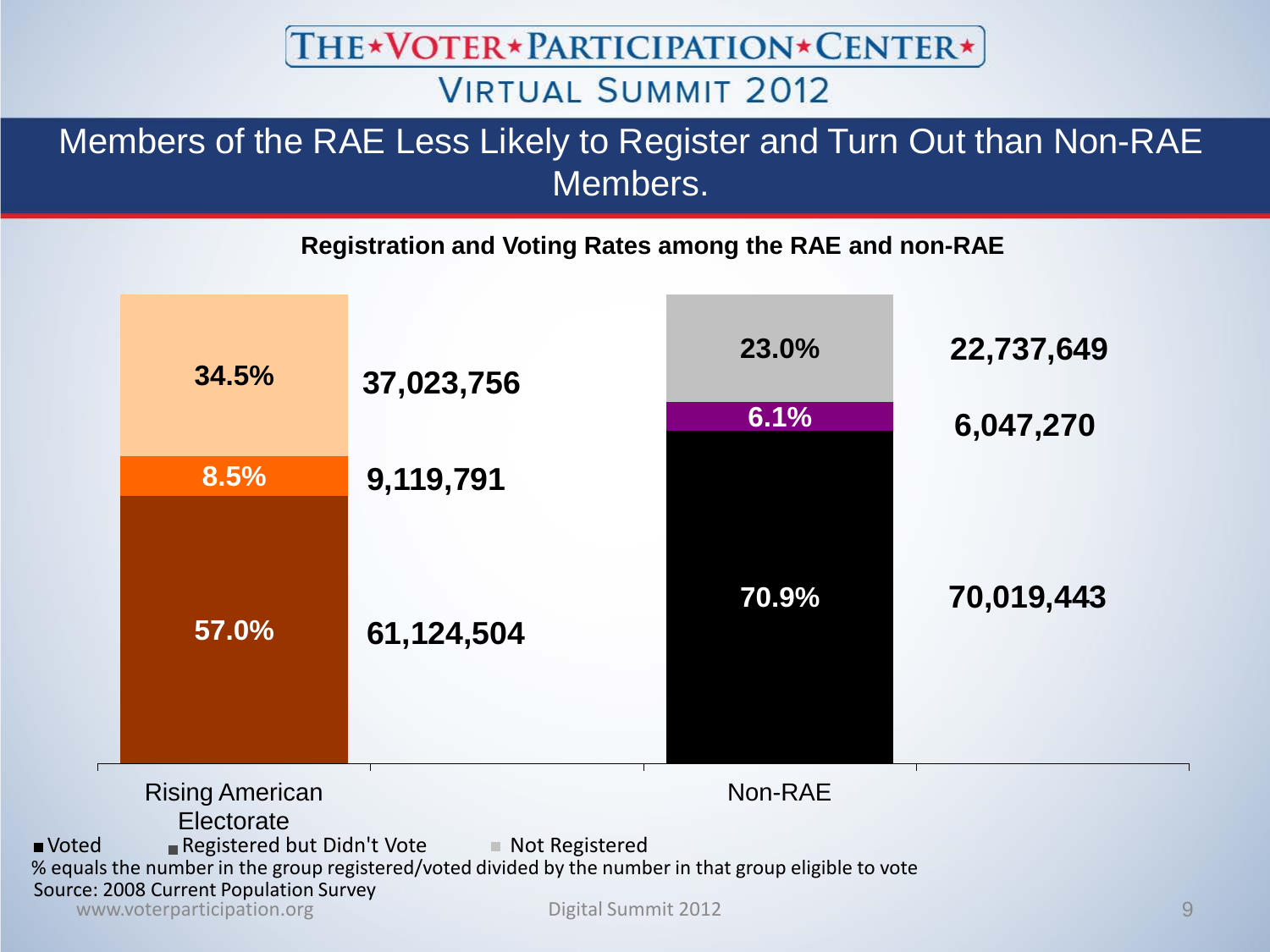THE\*VOTER\*PARTICIPATION\*CENTER\*

### **VIRTUAL SUMMIT 2012**

### Members of the RAE Less Likely to Register and Turn Out than Non-RAE Members.

**Registration and Voting Rates among the RAE and non-RAE**